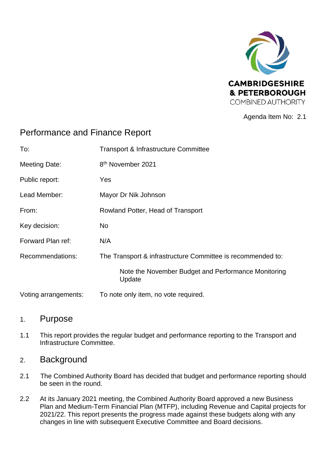

Agenda Item No: 2.1

# Performance and Finance Report

| To:                  | Transport & Infrastructure Committee                          |
|----------------------|---------------------------------------------------------------|
| <b>Meeting Date:</b> | 8 <sup>th</sup> November 2021                                 |
| Public report:       | Yes                                                           |
| Lead Member:         | Mayor Dr Nik Johnson                                          |
| From:                | Rowland Potter, Head of Transport                             |
| Key decision:        | No                                                            |
| Forward Plan ref:    | N/A                                                           |
| Recommendations:     | The Transport & infrastructure Committee is recommended to:   |
|                      | Note the November Budget and Performance Monitoring<br>Update |
| Voting arrangements: | To note only item, no vote required.                          |

### 1. Purpose

1.1 This report provides the regular budget and performance reporting to the Transport and Infrastructure Committee.

### 2. Background

- 2.1 The Combined Authority Board has decided that budget and performance reporting should be seen in the round.
- 2.2 At its January 2021 meeting, the Combined Authority Board approved a new Business Plan and Medium-Term Financial Plan (MTFP), including Revenue and Capital projects for 2021/22. This report presents the progress made against these budgets along with any changes in line with subsequent Executive Committee and Board decisions.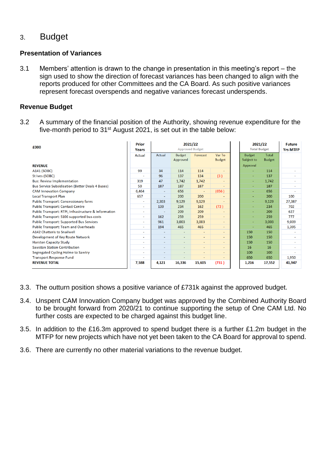# 3. Budget

#### **Presentation of Variances**

3.1 Members' attention is drawn to the change in presentation in this meeting's report – the sign used to show the direction of forecast variances has been changed to align with the reports produced for other Committees and the CA Board. As such positive variances represent forecast overspends and negative variances forecast underspends.

#### **Revenue Budget**

3.2 A summary of the financial position of the Authority, showing revenue expenditure for the five-month period to 31<sup>st</sup> August 2021, is set out in the table below:

| £000                                                 | Prior<br>Years           | 2021/22<br><b>Approved Budget</b> |                           |                          |                          | 2021/22<br><b>Total Budget</b> | <b>Future</b><br><b>Yrs MTFP</b> |        |
|------------------------------------------------------|--------------------------|-----------------------------------|---------------------------|--------------------------|--------------------------|--------------------------------|----------------------------------|--------|
|                                                      | Actual                   | Actual                            | <b>Budget</b><br>Approved | Forecast                 | Var To<br><b>Budget</b>  | <b>Budget</b><br>Subject to    | <b>Total</b><br><b>Budget</b>    |        |
| <b>REVENUE</b>                                       |                          |                                   |                           |                          |                          | Approval                       |                                  |        |
| A141 (SOBC)                                          | 99                       | 34                                | 114                       | 114                      |                          |                                | 114                              |        |
| St Ives (SOBC)                                       |                          | 96                                | 137                       | 134                      | (3)                      |                                | 137<br>÷.                        |        |
| <b>Bus: Review Implementation</b>                    | 319                      | 47                                | 1,742                     | 1,742                    |                          |                                | 1,742<br>٠                       |        |
| Bus Service Subsidisation (Better Deals 4 Buses)     | 50                       | 187                               | 187                       | 187                      |                          |                                | 187<br>÷                         |        |
| <b>CAM Innovation Company</b>                        | 6,464                    | $\blacksquare$                    | 656                       | $\overline{\phantom{a}}$ | (656)                    |                                | 656                              |        |
| <b>Local Transport Plan</b>                          | 657                      | $\overline{\phantom{a}}$          | 200                       | 200                      |                          |                                | 200<br>÷                         | 100    |
| <b>Public Transport: Concessionary fares</b>         | ٠                        | 2,303                             | 9,129                     | 9,129                    |                          |                                | 9,129<br>٠                       | 27,387 |
| <b>Public Transport: Contact Centre</b>              | ٠                        | 139                               | 234                       | 162                      | (72)                     |                                | 234<br>٠                         | 702    |
| Public Transport: RTPI, Infrastructure & Information | $\overline{\phantom{a}}$ |                                   | 209                       | 209                      |                          |                                | 209<br>٠                         | 627    |
| Public Transport: S106 supported bus costs           | ۰                        | 162                               | 259                       | 259                      | $\sim$                   |                                | 259<br>٠                         | 777    |
| <b>Public Transport: Supported Bus Services</b>      | ٠                        | 961                               | 3,003                     | 3,003                    | ÷.                       |                                | 3,003<br>÷.                      | 9,009  |
| <b>Public Transport: Team and Overheads</b>          | ٠                        | 194                               | 465                       | 465                      | $\blacksquare$           |                                | 465<br>٠                         | 1,395  |
| A142 Chatteris to Snailwell                          | $\sim$                   | $\overline{\phantom{0}}$          | ٠                         | $\overline{\phantom{a}}$ | $\overline{\phantom{a}}$ | 150                            | 150                              |        |
| Development of Key Route Network                     | $\mathbf{r}$             | ۰                                 | ٠                         | $\overline{\phantom{a}}$ | ٠                        | 150                            | 150                              |        |
| <b>Harston Capacity Study</b>                        | $\sim$                   | $\overline{\phantom{0}}$          | $\overline{\phantom{a}}$  | $\sim$                   | $\overline{\phantom{a}}$ | 150                            | 150                              |        |
| <b>Sawston Station Contribution</b>                  | ÷                        | $\overline{\phantom{a}}$          | ٠                         | $\overline{\phantom{0}}$ | $\sim$                   | 16                             | 16                               |        |
| Segregated Cycling Holme to Sawtry                   | ٠                        | $\sim$                            | $\overline{\phantom{a}}$  | $\overline{\phantom{0}}$ | ÷,                       | 100                            | 100                              |        |
| <b>Transport Response Fund</b>                       |                          |                                   |                           | $\overline{\phantom{0}}$ |                          | 650                            | 650                              | 1,950  |
| <b>REVENUE TOTAL</b>                                 | 7,588                    | 4,121                             | 16,336                    | 15,605                   | (731)                    | 1,216                          | 17,552                           | 41,947 |

- 3.3. The outturn position shows a positive variance of £731k against the approved budget.
- 3.4. Unspent CAM Innovation Company budget was approved by the Combined Authority Board to be brought forward from 2020/21 to continue supporting the setup of One CAM Ltd. No further costs are expected to be charged against this budget line.
- 3.5. In addition to the £16.3m approved to spend budget there is a further £1.2m budget in the MTFP for new projects which have not yet been taken to the CA Board for approval to spend.
- 3.6. There are currently no other material variations to the revenue budget.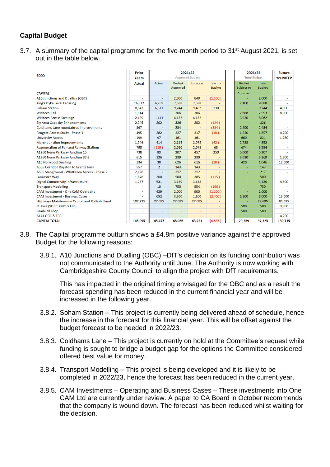#### **Capital Budget**

3.7. A summary of the capital programme for the five-month period to 31<sup>st</sup> August 2021, is set out in the table below.

| £000                                            | <b>Prior</b>             | 2021/22                  |                        |                |                     |               | 2021/22         |         |
|-------------------------------------------------|--------------------------|--------------------------|------------------------|----------------|---------------------|---------------|-----------------|---------|
|                                                 | Years                    |                          | <b>Approved Budget</b> |                | <b>Total Budget</b> |               | <b>Yrs MTFP</b> |         |
|                                                 | Actual                   | Actual                   | <b>Budget</b>          | Forecast       | Var To              | <b>Budget</b> | <b>Total</b>    |         |
|                                                 |                          |                          | Approved               |                | <b>Budget</b>       | Subject to    | <b>Budget</b>   |         |
| <b>CAPITAL</b>                                  |                          |                          |                        |                |                     | Approval      |                 |         |
| A10 Junctions and Dualling (OBC)                | $\overline{\phantom{a}}$ |                          | 2,000                  | 840            | (1,160)             |               | 2,000           |         |
| King's Dyke Level Crossing                      | 16,812                   | 6,759                    | 7,588                  | 7,588          |                     | 2,100         | 9,688           |         |
| <b>Soham Station</b>                            | 8,847                    | 6,611                    | 9,244                  | 9,482          | 238                 |               | 9,244           | 4,000   |
| <b>Wisbech Rail</b>                             | 1,514                    |                          | 306                    | 306            |                     | 2,688         | 2,993           | 8,000   |
| <b>Wisbech Access Strategy</b>                  | 2,439                    | 1,411                    | 4,132                  | 4,132          |                     | 3,930         | 8,062           |         |
| <b>Ely Area Capacity Enhancements</b>           | 2,945                    | 202                      | 326                    | 202            | (124)               |               | 326             |         |
| Coldhams Lane roundabout improvements           | 367                      | $\overline{a}$           | 234                    | $\blacksquare$ | (234)               | 2,200         | 2,434           |         |
| Fengate Access Study - Phase 1                  | 495                      | 282                      | 327                    | 317            | (10)                | 1,330         | 1,657           | 4,200   |
| <b>University Access</b>                        | 199                      | 97                       | 161                    | 161            |                     | 660           | 821             | 1,280   |
| <b>March Junction Improvements</b>              | 1,346                    | 414                      | 2,114                  | 2,072          | (42)                | 2,738         | 4,852           |         |
| <b>Regeneration of Fenland Railway Stations</b> | 790                      | (119)                    | 2,610                  | 2,678          | 68                  | 674           | 3,284           |         |
| A1260 Nene Parkway Junction 15                  | 738                      | 83                       | 207                    | 457            | 250                 | 5,000         | 5,207           |         |
| A1260 Nene Parkway Junction 32-3                | 615                      | 126                      | 239                    | 239            |                     | 5,030         | 5,269           | 1,500   |
| <b>A16 Norwood Dualling</b>                     | 134                      | 30                       | 626                    | 616            | (10)                | 420           | 1,046           | 12,000  |
| A505 Corridor Royston to Granta Park            | 557                      | $\overline{2}$           | 143                    | 143            |                     |               | 143             |         |
| A605 Stanground - Whittlesea Access - Phase 2   | 2,128                    | $\overline{a}$           | 217                    | 217            |                     |               | 217             |         |
| Lancaster Way                                   | 1,678                    | 260                      | 500                    | 385            | (115)               |               | 500             |         |
| <b>Digital Connectivity Infrastructure</b>      | 1,267                    | 531                      | 3,139                  | 3,138          |                     |               | 3,139           | 4,500   |
| <b>Transport Modelling</b>                      |                          | 10                       | 750                    | 554            | (196)               |               | 750             |         |
| <b>CAM Investment - One CAM Operating</b>       | $\sim$                   | 429                      | 2,000                  | 900            | (1,100)             |               | 2,000           |         |
| <b>CAM Investment - Business Cases</b>          |                          | 652                      | 3,500                  | 1,100          | (2,400)             | 1,500         | 5,000           | 13,000  |
| Highways Maintenance Capital and Pothole Fund   | 102,225                  | 27,695                   | 27,695                 | 27,695         |                     |               | 27,695          | 83,085  |
| St. Ives (SOBC, OBC & FBC)                      |                          |                          | ٠                      | ä,             |                     | 500           | 500             | 3,900   |
| <b>Snailwell Loop</b>                           |                          | $\overline{\phantom{a}}$ | $\overline{a}$         | ÷.             |                     | 500           | 500             |         |
| <b>A141 OBC &amp; FBC</b>                       |                          |                          |                        |                |                     |               |                 | 4,250   |
| <b>CAPITAL TOTAL</b>                            | 145,095                  | 45,477                   | 68,056                 | 63,221         | (4,835)             | 29,269        | 97,325          | 139,715 |

- 3.8. The Capital programme outturn shows a £4.8m positive variance against the approved Budget for the following reasons:
	- 3.8.1. A10 Junctions and Dualling (OBC) –DfT's decision on its funding contribution was not communicated to the Authority until June. The Authority is now working with Cambridgeshire County Council to align the project with DfT requirements.

This has impacted in the original timing envisaged for the OBC and as a result the forecast spending has been reduced in the current financial year and will be increased in the following year.

- 3.8.2. Soham Station This project is currently being delivered ahead of schedule, hence the increase in the forecast for this financial year. This will be offset against the budget forecast to be needed in 2022/23.
- 3.8.3. Coldhams Lane This project is currently on hold at the Committee's request while funding is sought to bridge a budget gap for the options the Committee considered offered best value for money.
- 3.8.4. Transport Modelling This project is being developed and it is likely to be completed in 2022/23, hence the forecast has been reduced in the current year.
- 3.8.5. CAM Investments Operating and Business Cases These investments into One CAM Ltd are currently under review. A paper to CA Board in October recommends that the company is wound down. The forecast has been reduced whilst waiting for the decision.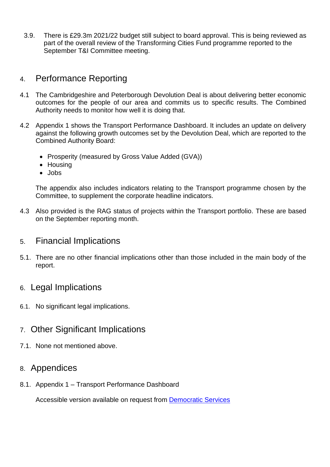3.9. There is £29.3m 2021/22 budget still subject to board approval. This is being reviewed as part of the overall review of the Transforming Cities Fund programme reported to the September T&I Committee meeting.

# 4. Performance Reporting

- 4.1 The Cambridgeshire and Peterborough Devolution Deal is about delivering better economic outcomes for the people of our area and commits us to specific results. The Combined Authority needs to monitor how well it is doing that.
- 4.2 Appendix 1 shows the Transport Performance Dashboard. It includes an update on delivery against the following growth outcomes set by the Devolution Deal, which are reported to the Combined Authority Board:
	- Prosperity (measured by Gross Value Added (GVA))
	- Housing
	- Jobs

The appendix also includes indicators relating to the Transport programme chosen by the Committee, to supplement the corporate headline indicators.

4.3 Also provided is the RAG status of projects within the Transport portfolio. These are based on the September reporting month.

#### 5. Financial Implications

5.1. There are no other financial implications other than those included in the main body of the report.

# 6. Legal Implications

6.1. No significant legal implications.

# 7. Other Significant Implications

7.1. None not mentioned above.

## 8. Appendices

8.1. Appendix 1 – Transport Performance Dashboard

Accessible version available on request from [Democratic Services](mailto:democratic.services@cambridgeshirepeterborough-ca.gov.uk)